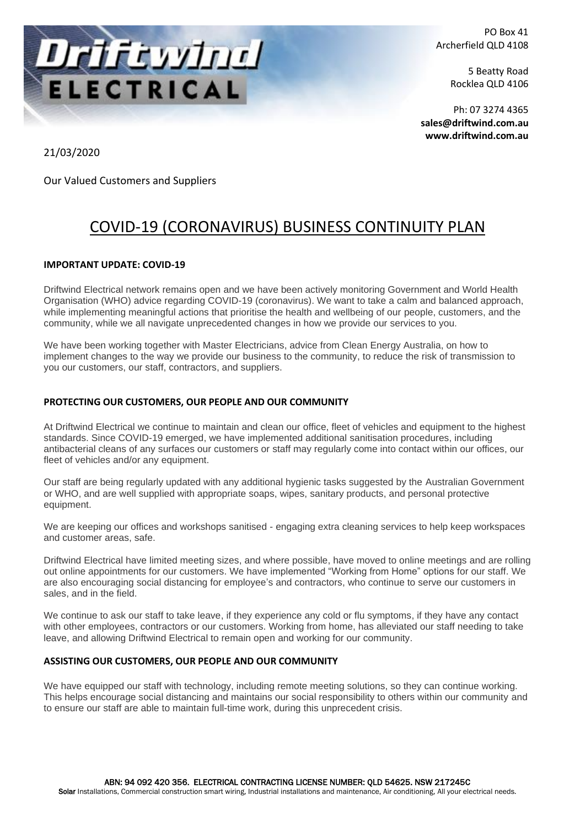

PO Box 41 Archerfield QLD 4108

> 5 Beatty Road Rocklea QLD 4106

Ph: 07 3274 4365 **[sales@driftwind.com.au](mailto:sales@driftwind.com.au) www.driftwind.com.au**

21/03/2020

Our Valued Customers and Suppliers

# COVID-19 (CORONAVIRUS) BUSINESS CONTINUITY PLAN

# **IMPORTANT UPDATE: COVID-19**

Driftwind Electrical network remains open and we have been actively monitoring Government and World Health Organisation (WHO) advice regarding COVID-19 (coronavirus). We want to take a calm and balanced approach, while implementing meaningful actions that prioritise the health and wellbeing of our people, customers, and the community, while we all navigate unprecedented changes in how we provide our services to you.

We have been working together with Master Electricians, advice from Clean Energy Australia, on how to implement changes to the way we provide our business to the community, to reduce the risk of transmission to you our customers, our staff, contractors, and suppliers.

# **PROTECTING OUR CUSTOMERS, OUR PEOPLE AND OUR COMMUNITY**

At Driftwind Electrical we continue to maintain and clean our office, fleet of vehicles and equipment to the highest standards. Since COVID-19 emerged, we have implemented additional sanitisation procedures, including antibacterial cleans of any surfaces our customers or staff may regularly come into contact within our offices, our fleet of vehicles and/or any equipment.

Our staff are being regularly updated with any additional hygienic tasks suggested by the Australian Government or WHO, and are well supplied with appropriate soaps, wipes, sanitary products, and personal protective equipment.

We are keeping our offices and workshops sanitised - engaging extra cleaning services to help keep workspaces and customer areas, safe.

Driftwind Electrical have limited meeting sizes, and where possible, have moved to online meetings and are rolling out online appointments for our customers. We have implemented "Working from Home" options for our staff. We are also encouraging social distancing for employee's and contractors, who continue to serve our customers in sales, and in the field.

We continue to ask our staff to take leave, if they experience any cold or flu symptoms, if they have any contact with other employees, contractors or our customers. Working from home, has alleviated our staff needing to take leave, and allowing Driftwind Electrical to remain open and working for our community.

## **ASSISTING OUR CUSTOMERS, OUR PEOPLE AND OUR COMMUNITY**

We have equipped our staff with technology, including remote meeting solutions, so they can continue working. This helps encourage social distancing and maintains our social responsibility to others within our community and to ensure our staff are able to maintain full-time work, during this unprecedent crisis.